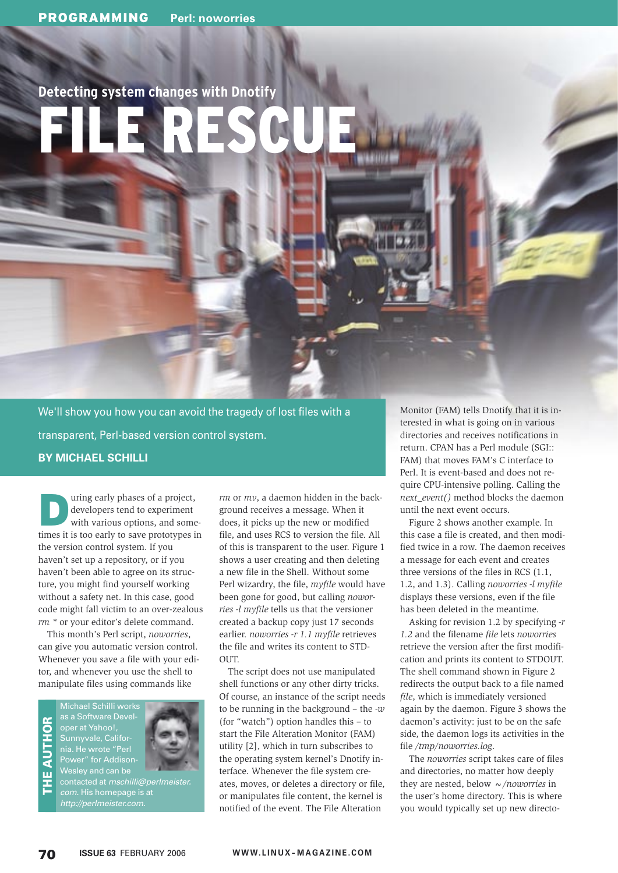# **Detecting system changes with Dnotify**

# FILE RESCUE

We'll show you how you can avoid the tragedy of lost files with a transparent, Perl-based version control system. **BY MICHAEL SCHILLI**

**During early phases of a project,<br>
developers tend to experiment<br>
with various options, and some**developers tend to experiment times it is too early to save prototypes in the version control system. If you haven't set up a repository, or if you haven't been able to agree on its structure, you might find yourself working without a safety net. In this case, good code might fall victim to an over-zealous *rm \** or your editor's delete command.

This month's Perl script, *noworries*, can give you automatic version control. Whenever you save a file with your editor, and whenever you use the shell to manipulate files using commands like

as a Software Devel- $\overline{5}$ THE AUTHOR oper at Yahoo!, Sunnyvale, California. He wrote "Perl Ę Power" for Addisonш



http://perlmeister.com.

*rm* or *mv*, a daemon hidden in the background receives a message. When it does, it picks up the new or modified file, and uses RCS to version the file. All of this is transparent to the user. Figure 1 shows a user creating and then deleting a new file in the Shell. Without some Perl wizardry, the file, *myfile* would have been gone for good, but calling *noworries -l myfile* tells us that the versioner created a backup copy just 17 seconds earlier. *noworries -r 1.1 myfile* retrieves the file and writes its content to STD- $\bigcap$ IT

The script does not use manipulated shell functions or any other dirty tricks. Of course, an instance of the script needs to be running in the background – the *-w* (for "watch") option handles this – to start the File Alteration Monitor (FAM) utility [2], which in turn subscribes to the operating system kernel's Dnotify interface. Whenever the file system creates, moves, or deletes a directory or file, or manipulates file content, the kernel is notified of the event. The File Alteration

Monitor (FAM) tells Dnotify that it is interested in what is going on in various directories and receives notifications in return. CPAN has a Perl module (SGI:: FAM) that moves FAM's C interface to Perl. It is event-based and does not require CPU-intensive polling. Calling the *next\_event()* method blocks the daemon until the next event occurs.

Figure 2 shows another example. In this case a file is created, and then modified twice in a row. The daemon receives a message for each event and creates three versions of the files in RCS (1.1, 1.2, and 1.3). Calling *noworries -l myfile* displays these versions, even if the file has been deleted in the meantime.

Asking for revision 1.2 by specifying *-r 1.2* and the filename *file* lets *noworries* retrieve the version after the first modification and prints its content to STDOUT. The shell command shown in Figure 2 redirects the output back to a file named *file*, which is immediately versioned again by the daemon. Figure 3 shows the daemon's activity: just to be on the safe side, the daemon logs its activities in the file */tmp/noworries.log*.

The *noworries* script takes care of files and directories, no matter how deeply they are nested, below *~/noworries* in the user's home directory. This is where you would typically set up new directo-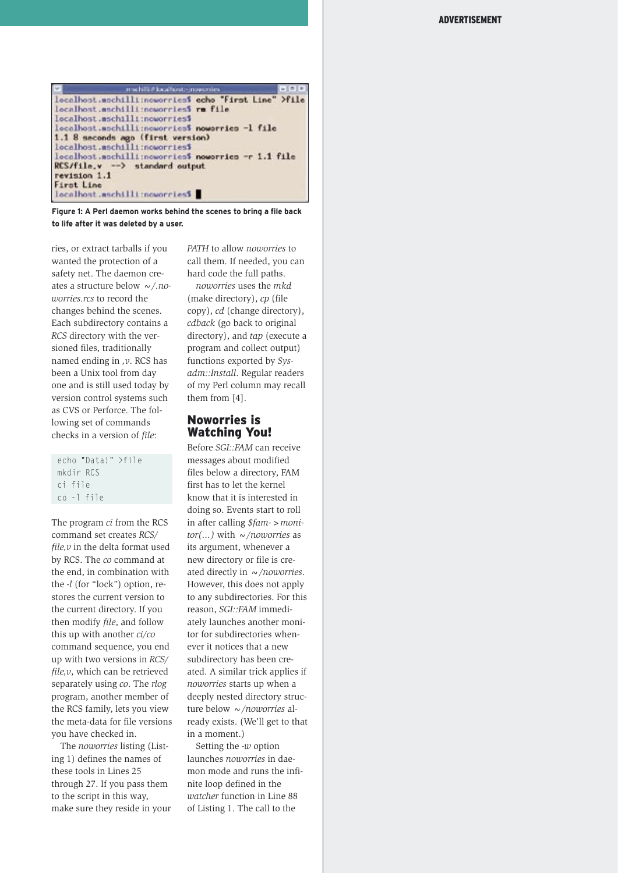

**Figure 1: A Perl daemon works behind the scenes to bring a file back to life after it was deleted by a user.**

ries, or extract tarballs if you wanted the protection of a safety net. The daemon creates a structure below *~/.noworries.rcs* to record the changes behind the scenes. Each subdirectory contains a *RCS* directory with the versioned files, traditionally named ending in *,v*. RCS has been a Unix tool from day one and is still used today by version control systems such as CVS or Perforce. The following set of commands checks in a version of *file*:

|            | echo "Data!" >file |  |
|------------|--------------------|--|
| mkdir RCS  |                    |  |
| ci file    |                    |  |
| co -l file |                    |  |

The program *ci* from the RCS command set creates *RCS/ file,v* in the delta format used by RCS. The *co* command at the end, in combination with the *-l* (for "lock") option, restores the current version to the current directory. If you then modify *file*, and follow this up with another *ci/co* command sequence, you end up with two versions in *RCS/ file,v*, which can be retrieved separately using *co*. The *rlog* program, another member of the RCS family, lets you view the meta-data for file versions you have checked in.

The *noworries* listing (Listing 1) defines the names of these tools in Lines 25 through 27. If you pass them to the script in this way, make sure they reside in your *PATH* to allow *noworries* to call them. If needed, you can hard code the full paths.

*noworries* uses the *mkd* (make directory), *cp* (file copy), *cd* (change directory), *cdback* (go back to original directory), and *tap* (execute a program and collect output) functions exported by *Sysadm::Install*. Regular readers of my Perl column may recall them from [4].

## Noworries is Watching You!

Before *SGI::FAM* can receive messages about modified files below a directory, FAM first has to let the kernel know that it is interested in doing so. Events start to roll in after calling *\$fam->monitor(...)* with *~/noworries* as its argument, whenever a new directory or file is created directly in *~/noworries*. However, this does not apply to any subdirectories. For this reason, *SGI::FAM* immediately launches another monitor for subdirectories whenever it notices that a new subdirectory has been created. A similar trick applies if *noworries* starts up when a deeply nested directory structure below *~/noworries* already exists. (We'll get to that in a moment.)

Setting the *-w* option launches *noworries* in daemon mode and runs the infinite loop defined in the *watcher* function in Line 88 of Listing 1. The call to the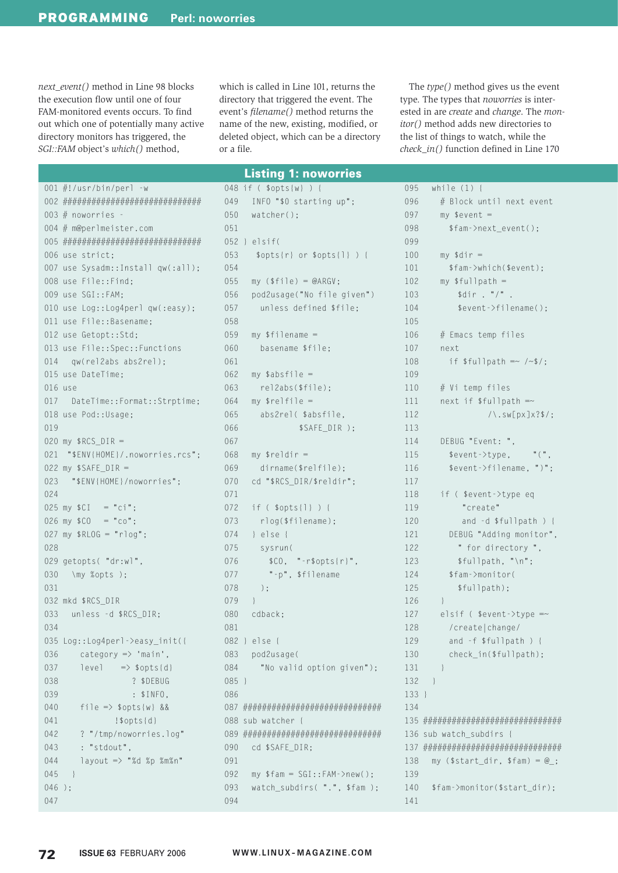next event() method in Line 98 blocks the execution flow until one of four FAM-monitored events occurs. To find out which one of potentially many active directory monitors has triggered, the SGI::FAM object's which() method,

which is called in Line 101, returns the directory that triggered the event. The event's *filename*() method returns the name of the new, existing, modified, or deleted object, which can be a directory or a file.

**Listing 1: noworries** 

The type() method gives us the event type. The types that noworries is interested in are create and change. The mon*itor*() method adds new directories to the list of things to watch, while the  $check_in()$  function defined in Line 170

### 001  $\#!/$ usr/bin/perl -w 003  $#$  noworries -004 # m@perlmeister.com 006 use strict; 007 use Sysadm::Install qw(:all); 008 use File::Find; 009 use SGI::FAM: 010 use Log::Log4perl qw(:easy); 011 use File::Basename: 012 use Getopt::Std; 013 use File::Spec::Functions 014 qw(rel2abs abs2rel); 015 use DateTime:  $016$  use 017 DateTime::Format::Strptime; 018 use Pod::Usage;  $019$ 020 my  $RCS_DIR =$ 021 "\$ENV{HOME}/.noworries.rcs"; 022 my  $$SAFE_DIR =$ 023 "\$ENV{HOME}/noworries"; 024  $025$  my  $$CI = "ci";$  $026$  my  $$CO = "co":$ 027 my  $RLOG = "rlog";$ 028 029 getopts( "dr:wl", 030 \my %opts );  $031$ 032 mkd \$RCS DIR unless -d \$RCS DIR: 033 034 035 Log::Log4perl->easy\_init({ 036  $category \Rightarrow 'main',$ 037  $|level \implies $opts {d}$ 038 ? \$DEBUG  $039$  $: $INFO,$ 040  $\text{file} \Rightarrow \text{spots}\{w\}$  && 041  $!$ \$opts{d}  $042$ ? "/tmp/noworries.log" 043 : "stdout". 044 layout => "%d %p %m%n" 045  $\rightarrow$  $046$  ); 047

|         | 048 if ( \$opts{w} ) {                                                                    |
|---------|-------------------------------------------------------------------------------------------|
| 049     | INFO "\$0 starting up";                                                                   |
|         | 050 watcher();                                                                            |
| 051     |                                                                                           |
|         | 052 } elsif(                                                                              |
| 053     | $$opts{r} or $opts{1}$ ) {                                                                |
| 054     |                                                                                           |
| 055     | $my ($file) = @ARGV;$                                                                     |
| 056     | pod2usage("No file given")                                                                |
| 057     | unless defined \$file;                                                                    |
| 058     |                                                                                           |
| 059     | $my$ \$filename =                                                                         |
| 060     | basename \$file;                                                                          |
| 061     |                                                                                           |
| 062     | $my$ \$absfile =                                                                          |
| 063     | rel2abs(\$file);                                                                          |
| 064     | $my$ $$relfile =$                                                                         |
| 065     | abs2rel( \$absfile,                                                                       |
| 066     | \$SAFE_DIR );                                                                             |
| 067     |                                                                                           |
| 068     | my $\frac{1}{2}$ reldir =                                                                 |
| 069     | $dirname({\$relfile});$                                                                   |
| 070     | cd "\$RCS_DIR/\$reldir";                                                                  |
| 071     |                                                                                           |
| 072     | if ( \$opts{1} ) {                                                                        |
| 073     | rlog(\$filename);                                                                         |
| 074     | $\}$ else {                                                                               |
| 075     | sysrun(                                                                                   |
| 076     | $$CO, "--r$opts{r}".$                                                                     |
| 077     | "-p", \$filename                                                                          |
| 078     | $)$ ;                                                                                     |
| 079     | $\Box$                                                                                    |
| 080     | cdback:                                                                                   |
| 081     |                                                                                           |
| 082     | } else<br>$\{$                                                                            |
| 083     | pod2usage(                                                                                |
| 084     | "No valid option given");                                                                 |
| $085$ } |                                                                                           |
| 086     |                                                                                           |
| 087     |                                                                                           |
| 088     | sub watcher {                                                                             |
| 089     | <i>┪</i> ┢ <i>┪</i> ┢ <i>┪</i> ┢ <i>┪┢╡┢╡┢╡┢╡┢╡┢╡┢╡╘┧╘┪╘┪╘┪┢╡┢╡┢╡┢╡┢╡┢╡┢╡┢╡╆╡┢╡┢╡┢╡┢┇</i> |
| 090     | cd \$SAFE_DIR;                                                                            |
| 091     |                                                                                           |
| 092     | $my$ \$fam = SGI::FAM->new();                                                             |
| 093     | watch_subdirs( ".", \$fam );                                                              |
| 094     |                                                                                           |

| 095   | while $(1)$ {                                                  |
|-------|----------------------------------------------------------------|
| 096   | # Block until next event                                       |
| 097   | $my$ \$event =                                                 |
| 098   | \$fam->next_event();                                           |
| 099   |                                                                |
| 100   | my $\text{\$dir} =$                                            |
| 101   | \$fam->which(\$event);                                         |
| 102   | my $$fullpath =$                                               |
| 103   | \$dir . "/"                                                    |
| 104   | % event > find < 0;                                            |
| 105   |                                                                |
| 106   | # Emacs temp files                                             |
| 107   | next                                                           |
| 108   | if $$fullpath = ~ / ~$ \$/;                                    |
| 109   |                                                                |
| 110   | # Vi temp files                                                |
| 111   | next if $$fullpath =~$                                         |
| 112   | $/\backslash$ .sw[px]x?\$/;                                    |
| 113   |                                                                |
| 114   | DEBUG "Event: ",                                               |
| 115   | \$event->type,                                                 |
| 116   | \$event->filename,                                             |
| 117   |                                                                |
| 118   | if (\$event->type eq                                           |
| 119   | "create"                                                       |
| 120   | and -d \$fullpath ) {                                          |
| 121   | DEBUG "Adding monitor",                                        |
| 122   | " for directory ",                                             |
| 123   | \$fullpath, "\n";                                              |
| 124   | \$fam->monitor(                                                |
| 125   | \$fullpath);                                                   |
| 126   | ł                                                              |
| 127   | elsif ( $%$ event->type =~                                     |
| 128   | /create change/                                                |
| 129   | and -f \$fullpath<br>$\left( \right)$<br>$\{$                  |
| 130   | check_in(\$fullpath);                                          |
| 131   | $\overline{\phantom{a}}$                                       |
| 132   | $\Box$                                                         |
| 133 } |                                                                |
| 134   |                                                                |
| 135   | <u>┪┢┪┢┧┢┧┢┧┢┧┢┧┢┧┢┧┢┧┢┧┢┧┢┧┢┧┢┧┢┧┢┧┢┧┢┧╊┧┢┧┢┧┢┧┢┧┢┧┢╁┢┧╊┧</u> |
| 136   | sub watch subdirs {                                            |
| 137   | <u>┪┢┪┢┧┢┧┢┧┢┧┢┧┢┧┢┧┢┧┢┧┢┧┢┧┢┧┢┧┢┧┢┧┢┧┢┧╊┧┢┧┢┧┢┧┢┧┢┧┢╁┢┧╊┧</u> |
| 138   | my $($start\_dir, $fam) = @_{:}$                               |
| 139   |                                                                |
| 140   | \$fam->monitor(\$start_dir);                                   |
| 141   |                                                                |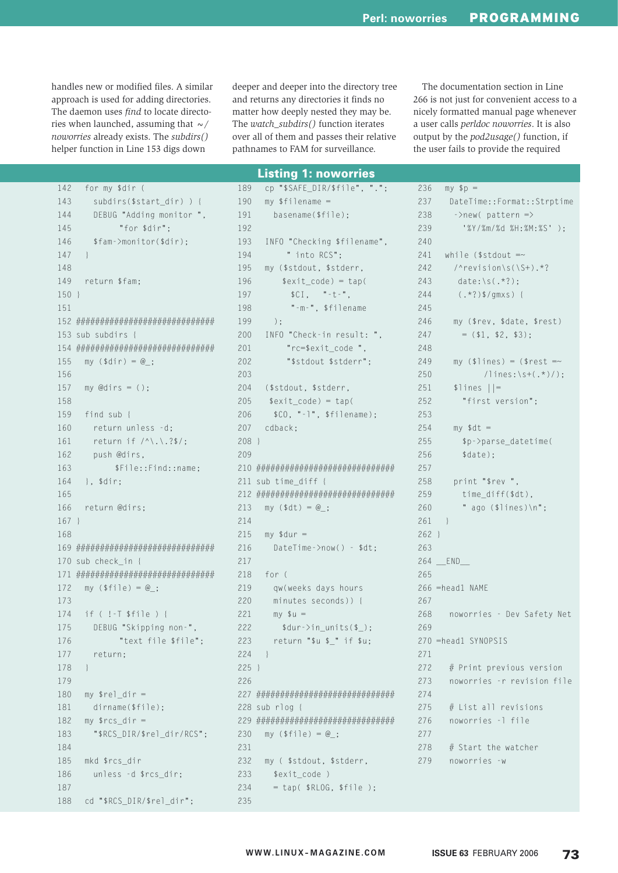handles new or modified files. A similar approach is used for adding directories. The daemon uses find to locate directories when launched, assuming that  $\sim$ / noworries already exists. The subdirs() helper function in Line 153 digs down

deeper and deeper into the directory tree and returns any directories it finds no matter how deeply nested they may be. The watch\_subdirs() function iterates over all of them and passes their relative pathnames to FAM for surveillance.

The documentation section in Line 266 is not just for convenient access to a nicely formatted manual page whenever a user calls perldoc noworries. It is also output by the *pod2usage()* function, if the user fails to provide the required

### **Listing 1: noworries**

cp "\$SAFE DIR/\$file", ".";

189

142 for my \$dir ( 143 subdirs(\$start\_dir)) { 144 DEBUG "Adding monitor ". 145 "for \$dir": 146 \$fam->monitor(\$dir); 147  $\hspace{0.1mm}\}$ 148 149 return \$fam;  $150 +$ 151 153 sub subdirs { 155 my  $(\$dir) = @_{:}$ 156 157 my @dirs =  $()$ ; 158  $159$ find sub { return unless -d: 160 161 return if  $/^{\wedge}$ . \.?\$/; 162 push @dirs, 163 \$File::Find::name; 164  $\}$ .  $\text{Gir:}$ 165 166 return @dirs:  $167.1$  $168$ 170 sub check\_in { my  $(\frac{1}{2} \text{file}) = \text{@}$ : 172  $173$ 174 if  $($  !-T \$file  $)$  { 175 DEBUG "Skipping non-", 176 "text file \$file": 177 return; 178  $\}$ 179 180 my  $\text{rel\_dir} =$ 181 dirname(\$file); 182 my  $\frac{arcs}{dt}$  = 183 "\$RCS DIR/\$rel dir/RCS": 184 185 mkd \$rcs\_dir 186 unless -d \$rcs\_dir; 187 188 cd "\$RCS\_DIR/\$rel\_dir";

190  $mv$  \$filename = 191 basename(\$file): 192 INFO "Checking \$filename", 193 " into RCS"; 194 195 my (\$stdout, \$stderr, 196  $$exit_code) = tap($ 197  $SCI.$   $" -t -"$ . "-m-", \$filename 198 199  $\cdot$  : 200 INFO "Check-in result: ". "rc=\$exit\_code ", 201 202 "\$stdout \$stderr":  $203$  $204$ (\$stdout, \$stderr, 205  $$exit_code) = tap($ 206  $$CO, "--]", $filename);$ 207  $cdback:$  $208$ } 209 211 sub time\_diff { 213  $my ( $dt) = @_{:}$  $214$  $215$  my \$dur = 216 DateTime->now() - \$dt; 217  $218$  for ( 219 gw(weeks days hours  $220$ minutes seconds)) { 221  $my \text{ su} =$  $$dur->in_$ units(\$\_);  $222$ 223 return "\$u \$\_" if \$u;  $224$  }  $225$  }  $226$ 228 sub rlog { my  $(\frac{1}{2} \text{file}) = \text{@};$ 230  $231$ 232 my (\$stdout, \$stderr, 233 \$exit\_code ) 234  $=$  tap(\$RLOG,\$file); 235

| 236     | $my$ $\phi$ $p =$                  |
|---------|------------------------------------|
| 237     | DateTime::Format::Strptime         |
| 238     | $\rightarrow$ new(pattern =>       |
| 239     | '%Y/%m/%d %H:%M:%S' );             |
| 240     |                                    |
| 241     | while (\$stdout $=\sim$            |
| 242     | /^revision\s(\S+).*?               |
| 243     | $date:\\s(.*)$ ;                   |
| 244     | $(*?)*/gmxs)$                      |
| 245     |                                    |
| 246     | my (\$rev, \$date, \$rest)         |
| 247     | $=$ (\$1, \$2, \$3);               |
| 248     |                                    |
| 249     | my (\$lines) = (\$rest =~          |
| 250     | $\frac{1}{\ln 1}$ ines: \s+(.*)/); |
| 251     | $$lines$    =                      |
| 252     | "first version";                   |
| 253     |                                    |
| 254     | $my$ \$dt =                        |
| 255     | \$p->parse_datetime(               |
| 256     | \$date);                           |
| 257     |                                    |
| 258     | print "\$rev ",                    |
| 259     | time_diff(\$dt),                   |
| 260     | " ago $(\frac{1}{2})$ ines) \n";   |
| 261     | }                                  |
| $262$ } |                                    |
| 263     |                                    |
|         | 264 __ END__                       |
| 265     |                                    |
|         | 266 =head1 NAME                    |
| 267     |                                    |
| 268     | noworries - Dev Safety Net         |
| 269     |                                    |
|         | 270 =head1 SYNOPSIS                |
| 271     |                                    |
| 272     | $#$ Print previous version         |
| 273     | noworries -r revision file         |
| 274     |                                    |
| 275     | # List all revisions               |
| 276     | noworries -l file                  |
| 277     |                                    |
| 278     | # Start the watcher                |
|         | 279 noworries -w                   |
|         |                                    |